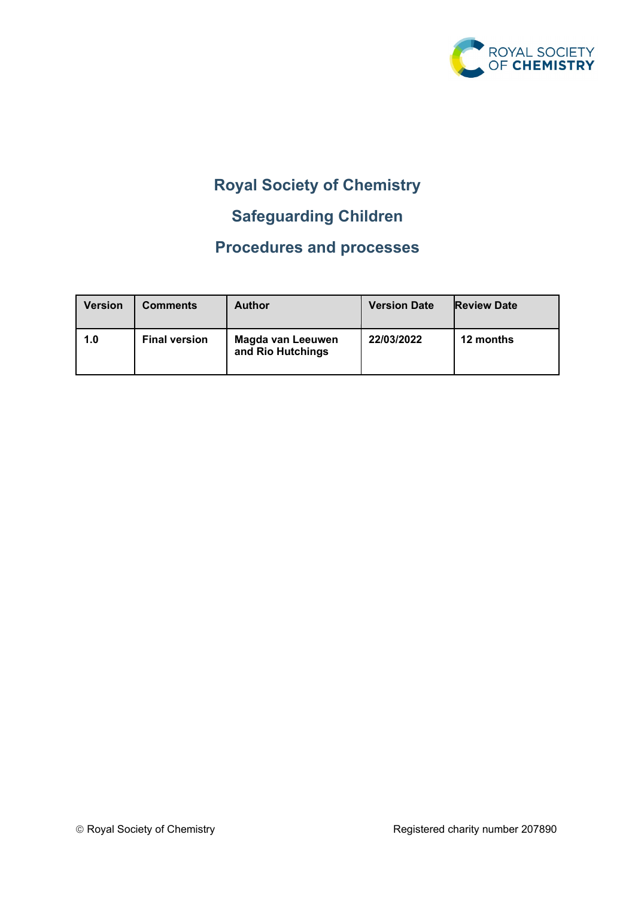

# **Royal Society of Chemistry**

# **Safeguarding Children**

# **Procedures and processes**

| <b>Version</b> | <b>Comments</b>      | <b>Author</b>                          | <b>Version Date</b> | <b>Review Date</b> |
|----------------|----------------------|----------------------------------------|---------------------|--------------------|
| 1.0            | <b>Final version</b> | Magda van Leeuwen<br>and Rio Hutchings | 22/03/2022          | 12 months          |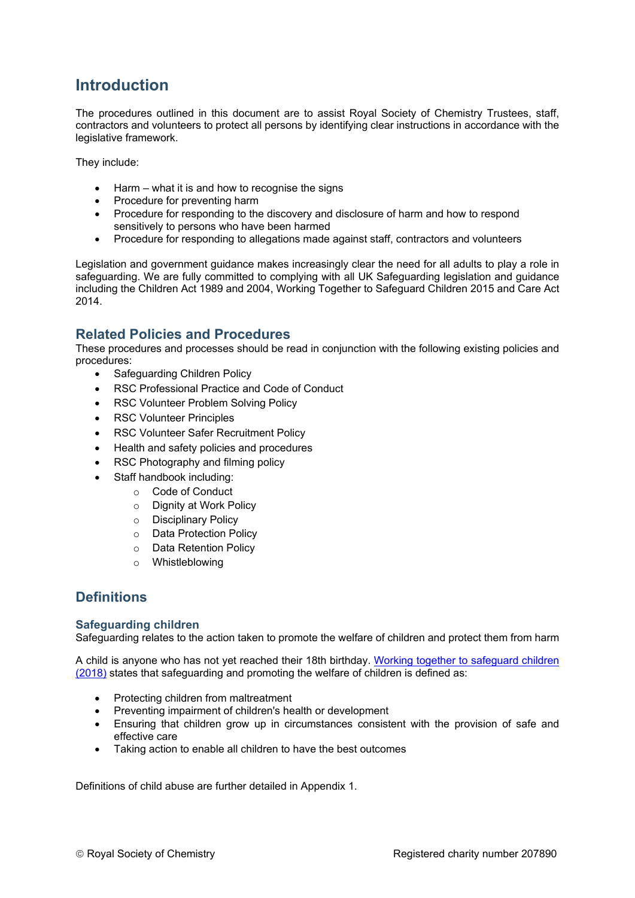# **Introduction**

The procedures outlined in this document are to assist Royal Society of Chemistry Trustees, staff, contractors and volunteers to protect all persons by identifying clear instructions in accordance with the legislative framework.

They include:

- Harm what it is and how to recognise the signs
- Procedure for preventing harm
- Procedure for responding to the discovery and disclosure of harm and how to respond sensitively to persons who have been harmed
- Procedure for responding to allegations made against staff, contractors and volunteers

Legislation and government guidance makes increasingly clear the need for all adults to play a role in safeguarding. We are fully committed to complying with all UK Safeguarding legislation and guidance including the Children Act 1989 and 2004, Working Together to Safeguard Children 2015 and Care Act 2014.

# **Related Policies and Procedures**

These procedures and processes should be read in conjunction with the following existing policies and procedures:

- Safeguarding Children Policy
- RSC Professional Practice and Code of Conduct
- RSC Volunteer Problem Solving Policy
- RSC Volunteer Principles
- RSC Volunteer Safer Recruitment Policy
- Health and safety policies and procedures
- RSC Photography and filming policy
- Staff handbook including:
	- o Code of Conduct
	- o Dignity at Work Policy
	- o Disciplinary Policy
	- o Data Protection Policy
	- o Data Retention Policy
	- o Whistleblowing

# **Definitions**

### **Safeguarding children**

Safeguarding relates to the action taken to promote the welfare of children and protect them from harm

A child is anyone who has not yet reached their 18th birthday. [Working together to safeguard children](https://assets.publishing.service.gov.uk/government/uploads/system/uploads/attachment_data/file/722305/Working_Together_to_Safeguard_Children_-_Guide.pdf)  [\(2018\)](https://assets.publishing.service.gov.uk/government/uploads/system/uploads/attachment_data/file/722305/Working_Together_to_Safeguard_Children_-_Guide.pdf) states that safeguarding and promoting the welfare of children is defined as:

- Protecting children from maltreatment
- Preventing impairment of children's health or development
- Ensuring that children grow up in circumstances consistent with the provision of safe and effective care
- Taking action to enable all children to have the best outcomes

Definitions of child abuse are further detailed in Appendix 1.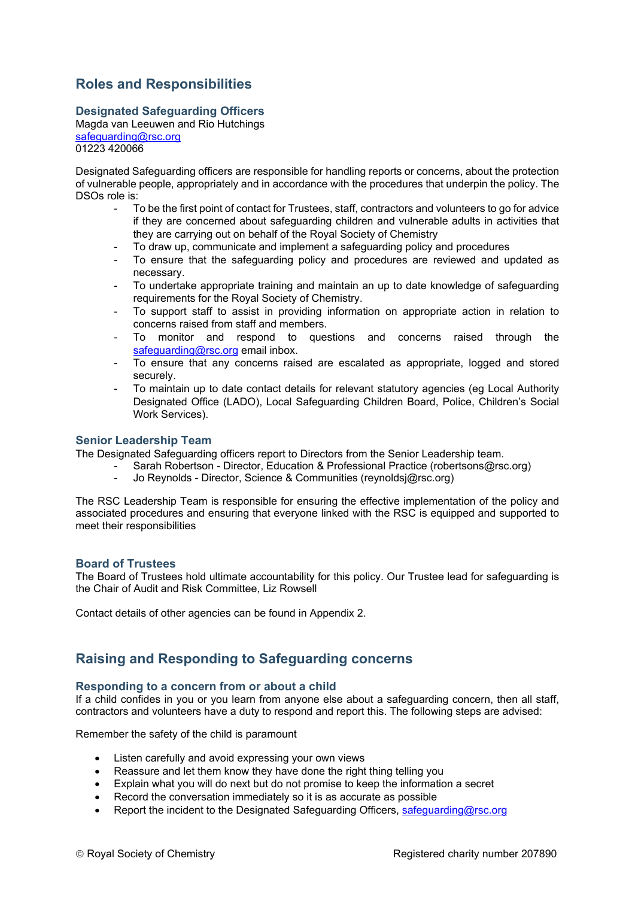# **Roles and Responsibilities**

## **Designated Safeguarding Officers**

Magda van Leeuwen and Rio Hutchings [safeguarding@rsc.org](mailto:safeguarding@rsc.org) 01223 420066

Designated Safeguarding officers are responsible for handling reports or concerns, about the protection of vulnerable people, appropriately and in accordance with the procedures that underpin the policy. The DSOs role is:

- To be the first point of contact for Trustees, staff, contractors and volunteers to go for advice if they are concerned about safeguarding children and vulnerable adults in activities that they are carrying out on behalf of the Royal Society of Chemistry
- To draw up, communicate and implement a safeguarding policy and procedures
- To ensure that the safeguarding policy and procedures are reviewed and updated as necessary.
- To undertake appropriate training and maintain an up to date knowledge of safeguarding requirements for the Royal Society of Chemistry.
- To support staff to assist in providing information on appropriate action in relation to concerns raised from staff and members.
- To monitor and respond to questions and concerns raised through the [safeguarding@rsc.org](mailto:safeguarding@rsc.org) email inbox.
- To ensure that any concerns raised are escalated as appropriate, logged and stored securely.
- To maintain up to date contact details for relevant statutory agencies (eg Local Authority Designated Office (LADO), Local Safeguarding Children Board, Police, Children's Social Work Services).

## **Senior Leadership Team**

The Designated Safeguarding officers report to Directors from the Senior Leadership team.

- Sarah Robertson Director, Education & Professional Practice (robertsons@rsc.org)
	- Jo Reynolds Director, Science & Communities (reynoldsj@rsc.org)

The RSC Leadership Team is responsible for ensuring the effective implementation of the policy and associated procedures and ensuring that everyone linked with the RSC is equipped and supported to meet their responsibilities

### **Board of Trustees**

The Board of Trustees hold ultimate accountability for this policy. Our Trustee lead for safeguarding is the Chair of Audit and Risk Committee, Liz Rowsell

Contact details of other agencies can be found in Appendix 2.

# **Raising and Responding to Safeguarding concerns**

### **Responding to a concern from or about a child**

If a child confides in you or you learn from anyone else about a safeguarding concern, then all staff, contractors and volunteers have a duty to respond and report this. The following steps are advised:

Remember the safety of the child is paramount

- Listen carefully and avoid expressing your own views
- Reassure and let them know they have done the right thing telling you
- Explain what you will do next but do not promise to keep the information a secret
- Record the conversation immediately so it is as accurate as possible
- Report the incident to the Designated Safeguarding Officers, [safeguarding@rsc.org](mailto:safeguarding@rsc.org)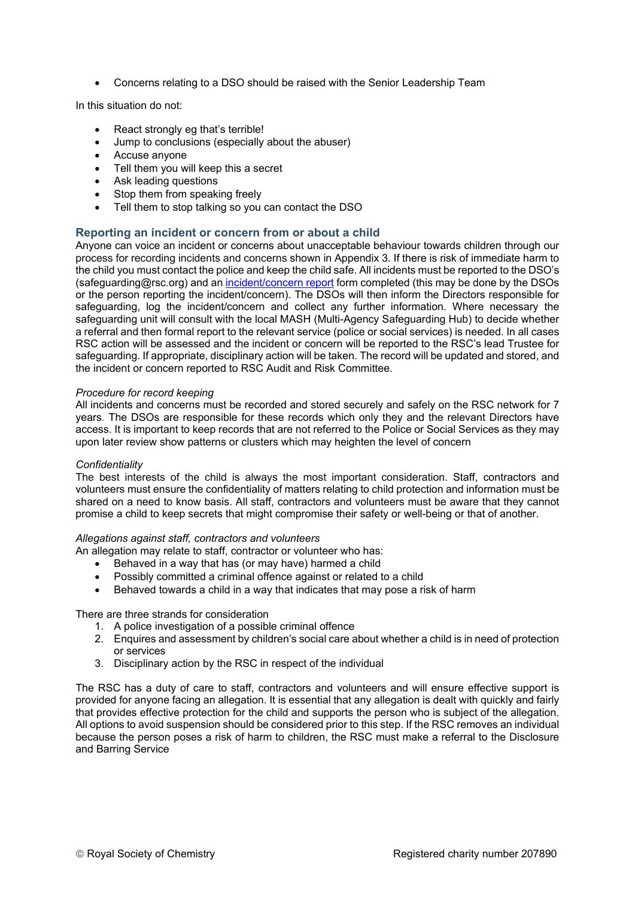• Concerns relating to a DSO should be raised with the Senior Leadership Team

In this situation do not:

- React strongly eg that's terrible!
- Jump to conclusions (especially about the abuser)
- Accuse anyone
- Tell them you will keep this a secret
- Ask leading questions
- Stop them from speaking freely
- Tell them to stop talking so you can contact the DSO

### **Reporting an incident or concern from or about a child**

Anyone can voice an incident or concerns about unacceptable behaviour towards children through our process for recording incidents and concerns shown in Appendix 3. If there is risk of immediate harm to the child you must contact the police and keep the child safe. All incidents must be reported to the DSO's (safeguarding@rsc.org) and a[n incident/concern report](https://www.rsc.org/our-events/otherinformation/risk-assessment/#safeguarding) form completed (this may be done by the DSOs or the person reporting the incident/concern). The DSOs will then inform the Directors responsible for safeguarding, log the incident/concern and collect any further information. Where necessary the safeguarding unit will consult with the local MASH (Multi-Agency Safeguarding Hub) to decide whether a referral and then formal report to the relevant service (police or social services) is needed. In all cases RSC action will be assessed and the incident or concern will be reported to the RSC's lead Trustee for safeguarding. If appropriate, disciplinary action will be taken. The record will be updated and stored, and the incident or concern reported to RSC Audit and Risk Committee.

#### *Procedure for record keeping*

All incidents and concerns must be recorded and stored securely and safely on the RSC network for 7 years. The DSOs are responsible for these records which only they and the relevant Directors have access. It is important to keep records that are not referred to the Police or Social Services as they may upon later review show patterns or clusters which may heighten the level of concern

#### *Confidentiality*

The best interests of the child is always the most important consideration. Staff, contractors and volunteers must ensure the confidentiality of matters relating to child protection and information must be shared on a need to know basis. All staff, contractors and volunteers must be aware that they cannot promise a child to keep secrets that might compromise their safety or well-being or that of another.

#### *Allegations against staff, contractors and volunteers*

An allegation may relate to staff, contractor or volunteer who has:

- Behaved in a way that has (or may have) harmed a child
- Possibly committed a criminal offence against or related to a child
- Behaved towards a child in a way that indicates that may pose a risk of harm

There are three strands for consideration

- 1. A police investigation of a possible criminal offence
- 2. Enquires and assessment by children's social care about whether a child is in need of protection or services
- 3. Disciplinary action by the RSC in respect of the individual

The RSC has a duty of care to staff, contractors and volunteers and will ensure effective support is provided for anyone facing an allegation. It is essential that any allegation is dealt with quickly and fairly that provides effective protection for the child and supports the person who is subject of the allegation. All options to avoid suspension should be considered prior to this step. If the RSC removes an individual because the person poses a risk of harm to children, the RSC must make a referral to the Disclosure and Barring Service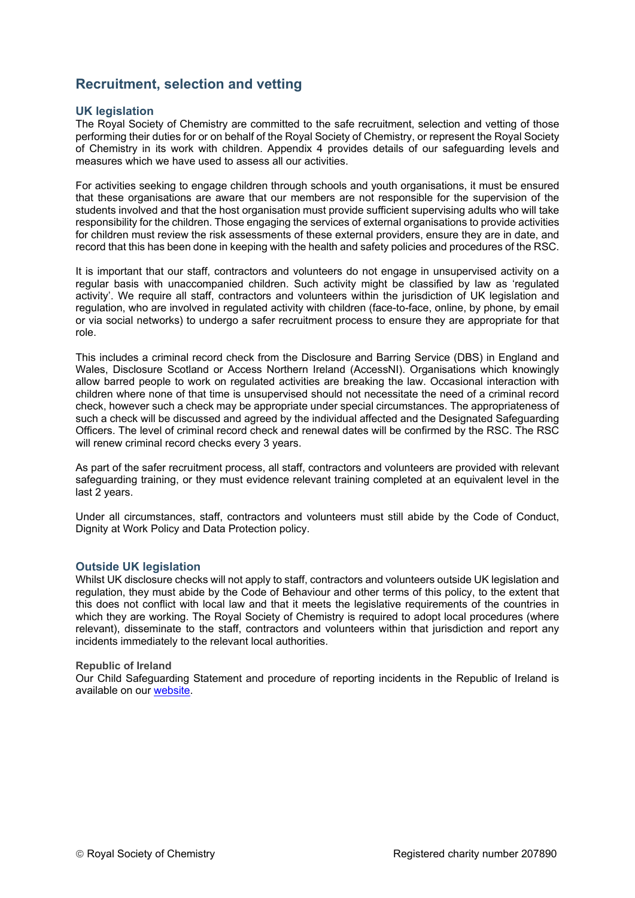# **Recruitment, selection and vetting**

### **UK legislation**

The Royal Society of Chemistry are committed to the safe recruitment, selection and vetting of those performing their duties for or on behalf of the Royal Society of Chemistry, or represent the Royal Society of Chemistry in its work with children. Appendix 4 provides details of our safeguarding levels and measures which we have used to assess all our activities.

For activities seeking to engage children through schools and youth organisations, it must be ensured that these organisations are aware that our members are not responsible for the supervision of the students involved and that the host organisation must provide sufficient supervising adults who will take responsibility for the children. Those engaging the services of external organisations to provide activities for children must review the risk assessments of these external providers, ensure they are in date, and record that this has been done in keeping with the health and safety policies and procedures of the RSC.

It is important that our staff, contractors and volunteers do not engage in unsupervised activity on a regular basis with unaccompanied children. Such activity might be classified by law as 'regulated activity'. We require all staff, contractors and volunteers within the jurisdiction of UK legislation and regulation, who are involved in regulated activity with children (face-to-face, online, by phone, by email or via social networks) to undergo a safer recruitment process to ensure they are appropriate for that role.

This includes a criminal record check from the Disclosure and Barring Service (DBS) in England and Wales, Disclosure Scotland or Access Northern Ireland (AccessNI). Organisations which knowingly allow barred people to work on regulated activities are breaking the law. Occasional interaction with children where none of that time is unsupervised should not necessitate the need of a criminal record check, however such a check may be appropriate under special circumstances. The appropriateness of such a check will be discussed and agreed by the individual affected and the Designated Safeguarding Officers. The level of criminal record check and renewal dates will be confirmed by the RSC. The RSC will renew criminal record checks every 3 years.

As part of the safer recruitment process, all staff, contractors and volunteers are provided with relevant safeguarding training, or they must evidence relevant training completed at an equivalent level in the last 2 years.

Under all circumstances, staff, contractors and volunteers must still abide by the Code of Conduct, Dignity at Work Policy and Data Protection policy.

### **Outside UK legislation**

Whilst UK disclosure checks will not apply to staff, contractors and volunteers outside UK legislation and regulation, they must abide by the Code of Behaviour and other terms of this policy, to the extent that this does not conflict with local law and that it meets the legislative requirements of the countries in which they are working. The Royal Society of Chemistry is required to adopt local procedures (where relevant), disseminate to the staff, contractors and volunteers within that jurisdiction and report any incidents immediately to the relevant local authorities.

#### **Republic of Ireland**

Our Child Safeguarding Statement and procedure of reporting incidents in the Republic of Ireland is available on our [website.](https://www.rsc.org/our-events/otherinformation/risk-assessment/#safeguarding)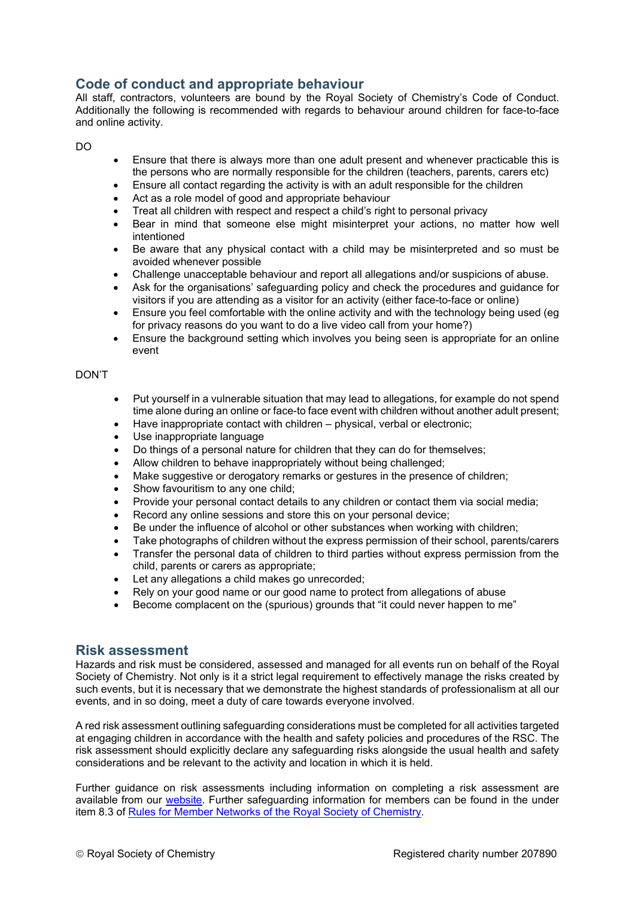# **Code of conduct and appropriate behaviour**

All staff, contractors, volunteers are bound by the Royal Society of Chemistry's Code of Conduct. Additionally the following is recommended with regards to behaviour around children for face-to-face and online activity.

DO

- Ensure that there is always more than one adult present and whenever practicable this is the persons who are normally responsible for the children (teachers, parents, carers etc)
- Ensure all contact regarding the activity is with an adult responsible for the children
- Act as a role model of good and appropriate behaviour
- Treat all children with respect and respect a child's right to personal privacy
- Bear in mind that someone else might misinterpret your actions, no matter how well intentioned
- Be aware that any physical contact with a child may be misinterpreted and so must be avoided whenever possible
- Challenge unacceptable behaviour and report all allegations and/or suspicions of abuse.
- Ask for the organisations' safeguarding policy and check the procedures and guidance for visitors if you are attending as a visitor for an activity (either face-to-face or online)
- Ensure you feel comfortable with the online activity and with the technology being used (eq for privacy reasons do you want to do a live video call from your home?)
- Ensure the background setting which involves you being seen is appropriate for an online event

### DON'T

- Put yourself in a vulnerable situation that may lead to allegations, for example do not spend time alone during an online or face-to face event with children without another adult present;
- Have inappropriate contact with children physical, verbal or electronic;
- Use inappropriate language
- Do things of a personal nature for children that they can do for themselves;
- Allow children to behave inappropriately without being challenged:
- Make suggestive or derogatory remarks or gestures in the presence of children;
- Show favouritism to any one child;
- Provide your personal contact details to any children or contact them via social media;
- Record any online sessions and store this on your personal device;
- Be under the influence of alcohol or other substances when working with children;
- Take photographs of children without the express permission of their school, parents/carers
- Transfer the personal data of children to third parties without express permission from the child, parents or carers as appropriate;
- Let any allegations a child makes go unrecorded;
- Rely on your good name or our good name to protect from allegations of abuse
- Become complacent on the (spurious) grounds that "it could never happen to me"

## **Risk assessment**

Hazards and risk must be considered, assessed and managed for all events run on behalf of the Royal Society of Chemistry. Not only is it a strict legal requirement to effectively manage the risks created by such events, but it is necessary that we demonstrate the highest standards of professionalism at all our events, and in so doing, meet a duty of care towards everyone involved.

A red risk assessment outlining safeguarding considerations must be completed for all activities targeted at engaging children in accordance with the health and safety policies and procedures of the RSC. The risk assessment should explicitly declare any safeguarding risks alongside the usual health and safety considerations and be relevant to the activity and location in which it is held.

Further guidance on risk assessments including information on completing a risk assessment are available from our [website.](http://www.rsc.org/events/otherinformation/risk-assessment/) Further safeguarding information for members can be found in the under item 8.3 of [Rules for Member Networks of the Royal Society of Chemistry.](https://www.rsc.org/images/Rules%20for%20Member%20Networks%20-%20current%20file_tcm18-249957.pdf)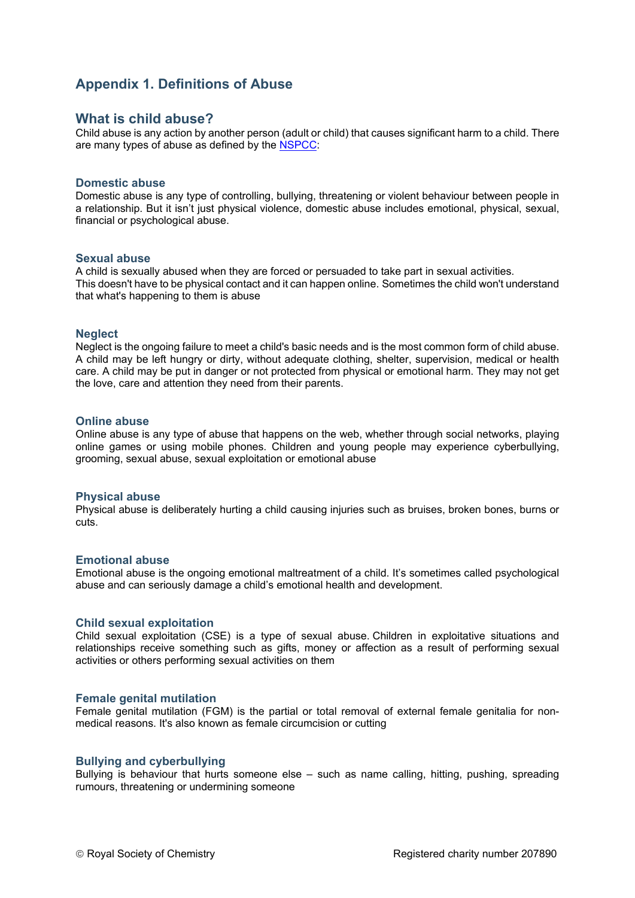# **Appendix 1. Definitions of Abuse**

## **What is child abuse?**

Child abuse is any action by another person (adult or child) that causes significant harm to a child. There are many types of abuse as defined by the [NSPCC:](https://www.nspcc.org.uk/preventing-abuse/child-abuse-and-neglect/)

#### **Domestic abuse**

Domestic abuse is any type of controlling, bullying, threatening or violent behaviour between people in a relationship. But it isn't just physical violence, domestic abuse includes emotional, physical, sexual, financial or psychological abuse.

#### **Sexual abuse**

A child is sexually abused when they are forced or persuaded to take part in sexual activities. This doesn't have to be physical contact and it can happen online. Sometimes the child won't understand that what's happening to them is abuse

#### **Neglect**

Neglect is the ongoing failure to meet a child's basic needs and i[s the most common form of child abuse.](https://www.nspcc.org.uk/preventing-abuse/child-abuse-and-neglect/neglect/child-neglect-facts-statistics/) A child may be left hungry or dirty, without adequate clothing, shelter, supervision, medical or health care. A child may be put in danger or not protected from physical or emotional harm. They may not get the love, care and attention they need from their parents.

#### **Online abuse**

Online abuse is any type of abuse that happens on the web, whether through social networks, playing online games or using mobile phones. Children and young people may experience cyberbullying, grooming, sexual abuse, sexual exploitation or emotional abuse

#### **Physical abuse**

Physical abuse is deliberately hurting a child causing injuries such as bruises, broken bones, burns or cuts.

#### **Emotional abuse**

Emotional abuse is the ongoing emotional maltreatment of a child. It's sometimes called psychological abuse and can seriously damage a child's emotional health and development.

#### **Child sexual exploitation**

Child sexual exploitation (CSE) is a type of [sexual abuse.](https://www.nspcc.org.uk/preventing-abuse/child-abuse-and-neglect/child-sexual-abuse/) Children in exploitative situations and relationships receive something such as gifts, money or affection as a result of performing sexual activities or others performing sexual activities on them

#### **Female genital mutilation**

Female genital mutilation (FGM) is the partial or total removal of external female genitalia for nonmedical reasons. It's also known as female circumcision or cutting

#### **Bullying and cyberbullying**

Bullying is behaviour that hurts someone else – such as name calling, hitting, pushing, spreading rumours, threatening or undermining someone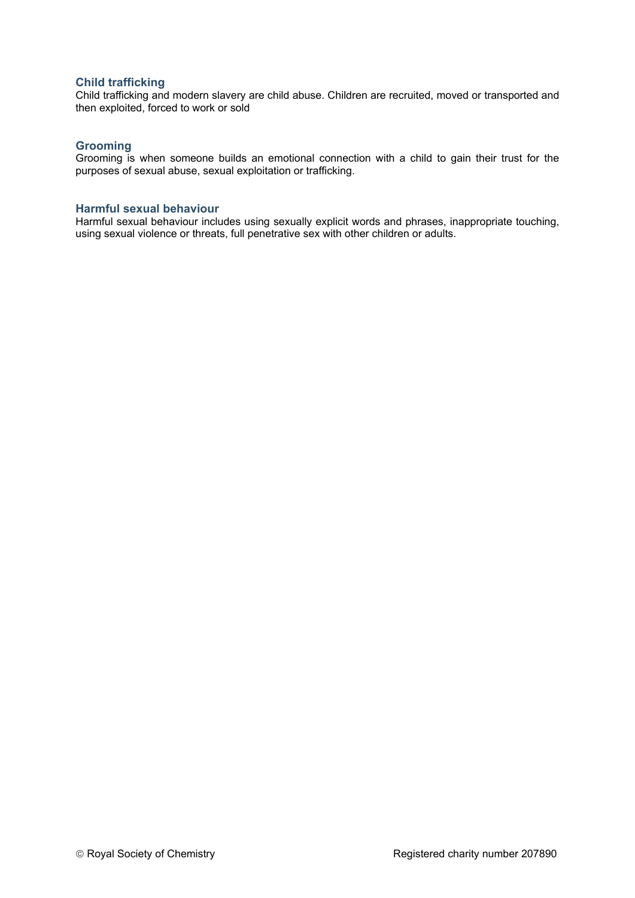### **Child trafficking**

Child trafficking and modern slavery are child abuse. Children are recruited, moved or transported and then exploited, forced to work or sold

### **Grooming**

Grooming is when someone builds an emotional connection with a child to gain their trust for the purposes of [sexual abuse,](https://www.nspcc.org.uk/preventing-abuse/child-abuse-and-neglect/child-sexual-abuse/) [sexual exploitation](https://www.nspcc.org.uk/preventing-abuse/child-abuse-and-neglect/child-sexual-exploitation/) or [trafficking.](https://www.nspcc.org.uk/preventing-abuse/child-abuse-and-neglect/child-trafficking/)

### **Harmful sexual behaviour**

Harmful sexual behaviour includes using sexually explicit words and phrases, inappropriate touching, using sexual violence or threats, full penetrative sex with other children or adults.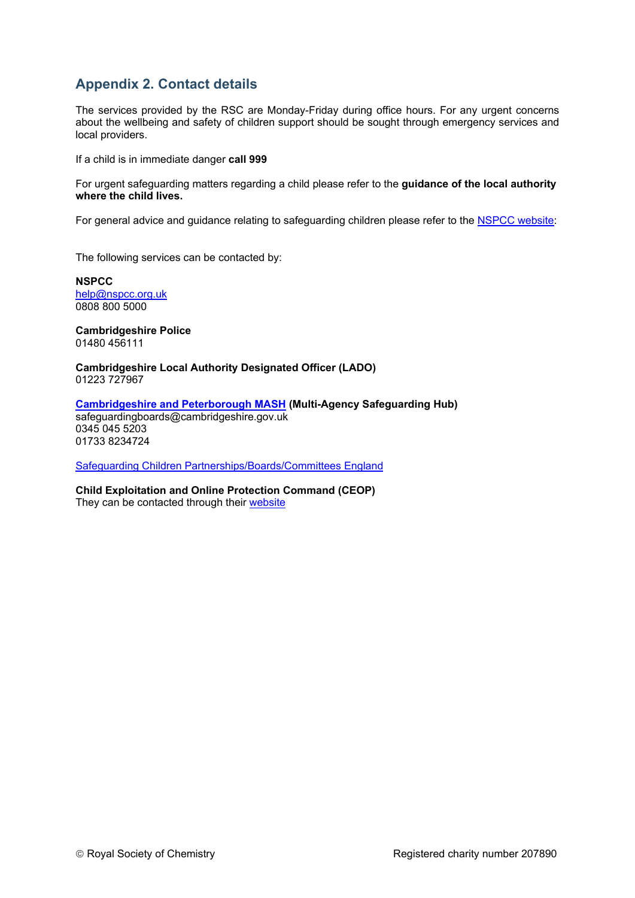# **Appendix 2. Contact details**

The services provided by the RSC are Monday-Friday during office hours. For any urgent concerns about the wellbeing and safety of children support should be sought through emergency services and local providers.

If a child is in immediate danger **call 999**

For urgent safeguarding matters regarding a child please refer to the **guidance of the local authority where the child lives.**

For general advice and guidance relating to safeguarding children please refer to the [NSPCC website:](https://learning.nspcc.org.uk/safeguarding-child-protection)

The following services can be contacted by:

**NSPCC**  [help@nspcc.org.uk](mailto:help@nspcc.org.uk) 0808 800 5000

**Cambridgeshire Police** 01480 [456111](tel:01480456111)

**Cambridgeshire Local Authority Designated Officer (LADO)** 01223 727967

**[Cambridgeshire and Peterborough MASH](https://www.safeguardingcambspeterborough.org.uk/) (Multi-Agency Safeguarding Hub)** [safeguardingboards@cambridgeshire.gov.uk](mailto:safeguardingboards@cambridgeshire.gov.uk) 0345 045 5203 [01733 8234724](tel:01733%20863744)

[Safeguarding Children Partnerships/Boards/Committees England](https://www.safecic.co.uk/your-scb-acpc/55-free-downloads-and-safeguarding-links/61-safeguarding-children-board-links)

**Child Exploitation and Online Protection Command (CEOP)**  They can be contacted through their [website](https://www.ceop.police.uk/Safety-Centre/Should-I-make-a-report-to-CEOP-YP/)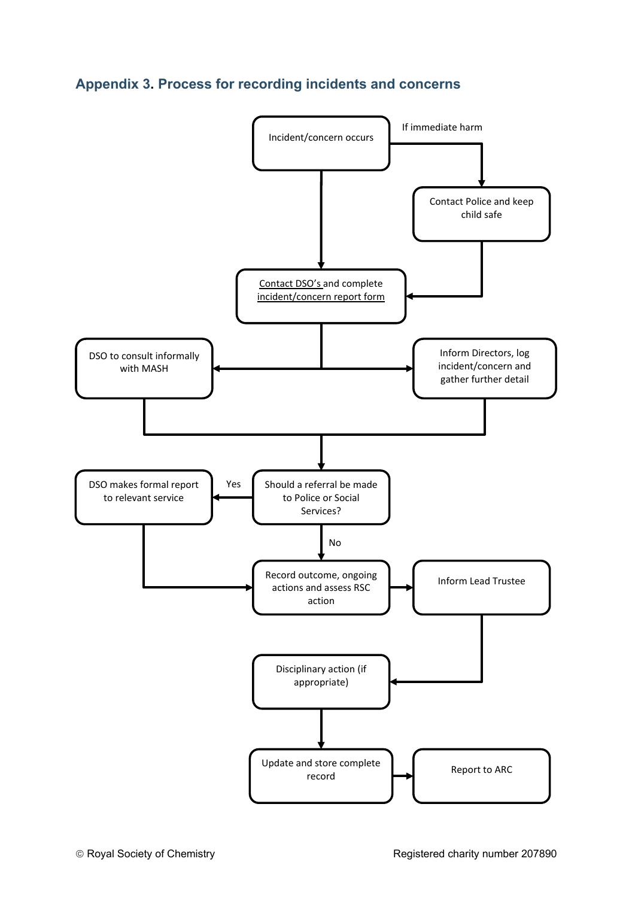# **Appendix 3. Process for recording incidents and concerns**

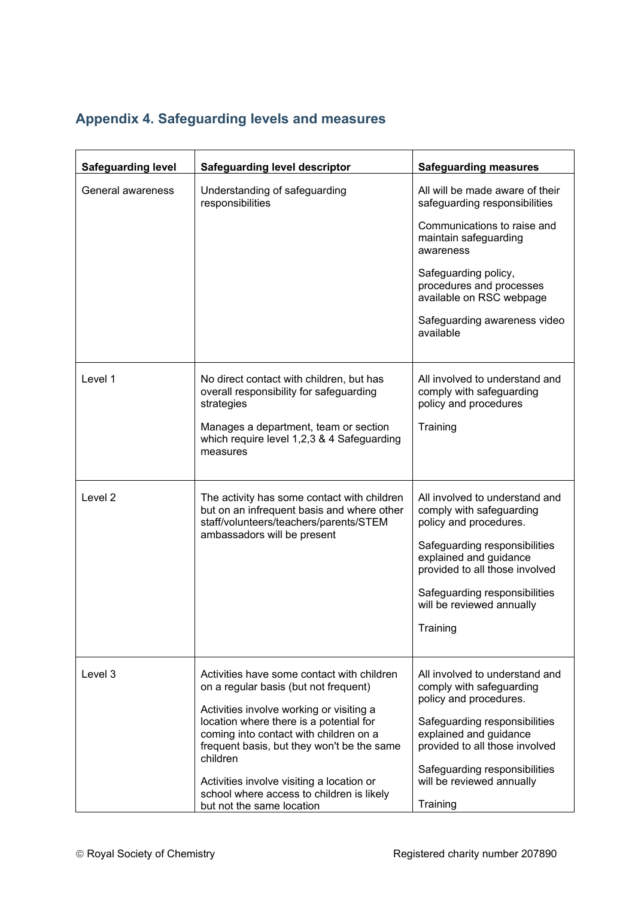# **Appendix 4. Safeguarding levels and measures**

| <b>Safeguarding level</b> | <b>Safeguarding level descriptor</b>                                                                                                                                                                                                                                                                                                                                                                  | <b>Safeguarding measures</b>                                                                                                                                                                                                                                       |
|---------------------------|-------------------------------------------------------------------------------------------------------------------------------------------------------------------------------------------------------------------------------------------------------------------------------------------------------------------------------------------------------------------------------------------------------|--------------------------------------------------------------------------------------------------------------------------------------------------------------------------------------------------------------------------------------------------------------------|
| General awareness         | Understanding of safeguarding<br>responsibilities                                                                                                                                                                                                                                                                                                                                                     | All will be made aware of their<br>safeguarding responsibilities<br>Communications to raise and<br>maintain safeguarding<br>awareness<br>Safeguarding policy,<br>procedures and processes<br>available on RSC webpage<br>Safeguarding awareness video<br>available |
| Level 1                   | No direct contact with children, but has<br>overall responsibility for safeguarding<br>strategies<br>Manages a department, team or section<br>which require level 1,2,3 & 4 Safeguarding<br>measures                                                                                                                                                                                                  | All involved to understand and<br>comply with safeguarding<br>policy and procedures<br>Training                                                                                                                                                                    |
| Level <sub>2</sub>        | The activity has some contact with children<br>but on an infrequent basis and where other<br>staff/volunteers/teachers/parents/STEM<br>ambassadors will be present                                                                                                                                                                                                                                    | All involved to understand and<br>comply with safeguarding<br>policy and procedures.<br>Safeguarding responsibilities<br>explained and guidance<br>provided to all those involved<br>Safeguarding responsibilities<br>will be reviewed annually<br>Training        |
| Level 3                   | Activities have some contact with children<br>on a regular basis (but not frequent)<br>Activities involve working or visiting a<br>location where there is a potential for<br>coming into contact with children on a<br>frequent basis, but they won't be the same<br>children<br>Activities involve visiting a location or<br>school where access to children is likely<br>but not the same location | All involved to understand and<br>comply with safeguarding<br>policy and procedures.<br>Safeguarding responsibilities<br>explained and guidance<br>provided to all those involved<br>Safeguarding responsibilities<br>will be reviewed annually<br>Training        |